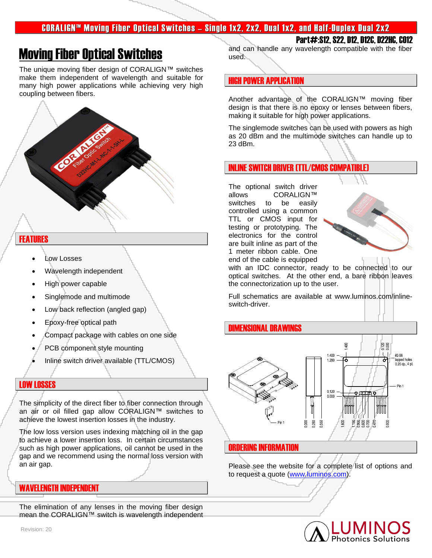## CORALIGN™ Moving Fiber Optical Switches – Single 1x2, 2x2, Dual 1x2, and Half-Duplex Dual 2x2

# Moving Fiber Optical Switches

The unique moving fiber design of CORALIGN™ switches make them independent of wavelength and suitable for many high power applications while achieving very high coupling between fibers.



### FEATURES

- Low Losses
- Wavelength independent
- High power capable
- Singlemode and multimode
- Low back reflection (angled gap)
- Epoxy-free optical path
- Compact package with cables on one side
- PCB component style mounting
- Inline switch driver available (TTL/CMOS)

#### LOW LOSSES

The simplicity of the direct fiber to fiber connection through an air or oil filled gap allow CORALIGN™ switches to achieve the lowest insertion losses in the industry.

The low loss version uses indexing matching oil in the gap to achieve a lower insertion loss. In certain circumstances such as high power applications, oil cannot be used in the gap and we recommend using the normal loss version with an air gap.

#### WAVELENGTH INDEPENDENT

The elimination of any lenses in the moving fiber design mean the CORALIGN™ switch is wavelength independent

Part#:S12, S22, D12, D12C, D22HC, CO12 and can handle any wavelength compatible with the fiber used.

### **HIGH POWER APPLICATION**

Another advantage of the CORALIGN™ moving fiber design is that there is no epoxy or lenses between fibers, making it suitable for high power applications.

The singlemode switches can be used with powers as high as 20 dBm and the multimode switches can handle up to 23 dBm.

#### INLINE SWITCH DRIVER (TTL/CMOS COMPATIBLE)

The optional switch driver allows CORALIGN™ switches to be easily controlled using a common TTL or CMOS input for testing or prototyping. The electronics for the control are built inline as part of the 1 meter ribbon cable. One end of the cable is equipped



with an IDC connector, ready to be connected to our optical switches. At the other end, a bare ribbon leaves the connectorization up to the user.

Full schematics are available at www.luminos.com/inlineswitch-driver.

#### DIMENSIONAL DRAWINGS



#### ORDERING INFORMATION

Please see the website for a complete list of options and to request a quote [\(www.luminos.com\)](http://www.luminos.com/).